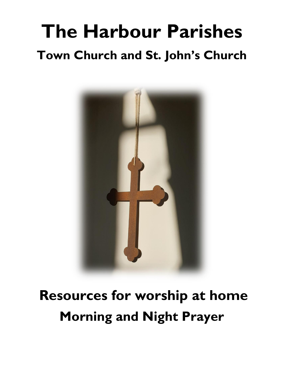### **The Harbour Parishes Town Church and St. John's Church**



### **Resources for worship at home Morning and Night Prayer**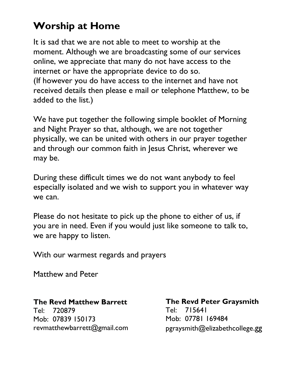#### **Worship at Home**

It is sad that we are not able to meet to worship at the moment. Although we are broadcasting some of our services online, we appreciate that many do not have access to the internet or have the appropriate device to do so. (If however you do have access to the internet and have not received details then please e mail or telephone Matthew, to be added to the list.)

We have put together the following simple booklet of Morning and Night Prayer so that, although, we are not together physically, we can be united with others in our prayer together and through our common faith in Jesus Christ, wherever we may be.

During these difficult times we do not want anybody to feel especially isolated and we wish to support you in whatever way we can.

Please do not hesitate to pick up the phone to either of us, if you are in need. Even if you would just like someone to talk to, we are happy to listen.

With our warmest regards and prayers

Matthew and Peter

#### **The Revd Matthew Barrett**

Tel: 720879 Mob: 07839 150173 revmatthewbarrett@gmail.com

**The Revd Peter Graysmith** Tel: 715641 Mob: 07781 169484 pgraysmith@elizabethcollege.gg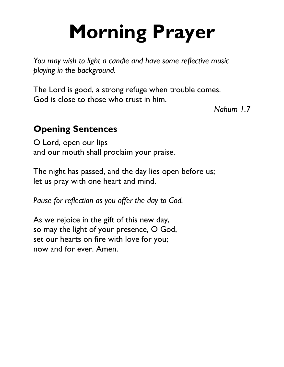## **Morning Prayer**

*You may wish to light a candle and have some reflective music playing in the background.*

The Lord is good, a strong refuge when trouble comes. God is close to those who trust in him.

*Nahum 1.7*

#### **Opening Sentences**

O Lord, open our lips and our mouth shall proclaim your praise.

The night has passed, and the day lies open before us; let us pray with one heart and mind.

*Pause for reflection as you offer the day to God.*

As we rejoice in the gift of this new day, so may the light of your presence, O God, set our hearts on fire with love for you; now and for ever. Amen.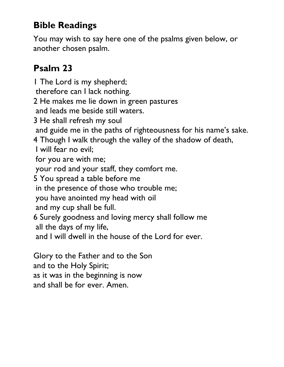#### **Bible Readings**

You may wish to say here one of the psalms given below, or another chosen psalm.

#### **Psalm 23**

1 The Lord is my shepherd; therefore can I lack nothing. 2 He makes me lie down in green pastures and leads me beside still waters. 3 He shall refresh my soul and guide me in the paths of righteousness for his name's sake. 4 Though I walk through the valley of the shadow of death, I will fear no evil; for you are with me; your rod and your staff, they comfort me. 5 You spread a table before me in the presence of those who trouble me; you have anointed my head with oil and my cup shall be full. 6 Surely goodness and loving mercy shall follow me all the days of my life, and I will dwell in the house of the Lord for ever. Glory to the Father and to the Son and to the Holy Spirit;

as it was in the beginning is now

and shall be for ever. Amen.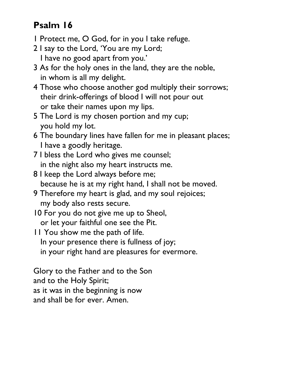#### **Psalm 16**

- 1 Protect me, O God, for in you I take refuge.
- 2 I say to the Lord, 'You are my Lord; I have no good apart from you.'
- 3 As for the holy ones in the land, they are the noble, in whom is all my delight.
- 4 Those who choose another god multiply their sorrows; their drink-offerings of blood I will not pour out or take their names upon my lips.
- 5 The Lord is my chosen portion and my cup; you hold my lot.
- 6 The boundary lines have fallen for me in pleasant places; I have a goodly heritage.
- 7 I bless the Lord who gives me counsel; in the night also my heart instructs me.
- 8 I keep the Lord always before me; because he is at my right hand, I shall not be moved.
- 9 Therefore my heart is glad, and my soul rejoices; my body also rests secure.
- 10 For you do not give me up to Sheol, or let your faithful one see the Pit.
- 11 You show me the path of life. In your presence there is fullness of joy; in your right hand are pleasures for evermore.

Glory to the Father and to the Son and to the Holy Spirit; as it was in the beginning is now and shall be for ever. Amen.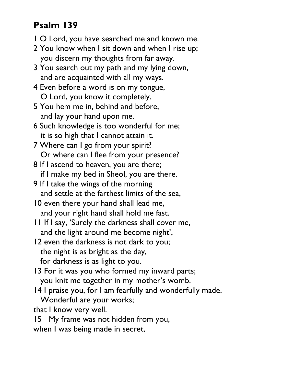#### **Psalm 139**

- 1 O Lord, you have searched me and known me.
- 2 You know when I sit down and when I rise up; you discern my thoughts from far away.
- 3 You search out my path and my lying down, and are acquainted with all my ways.
- 4 Even before a word is on my tongue, O Lord, you know it completely.
- 5 You hem me in, behind and before, and lay your hand upon me.
- 6 Such knowledge is too wonderful for me; it is so high that I cannot attain it.
- 7 Where can I go from your spirit? Or where can I flee from your presence?
- 8 If I ascend to heaven, you are there; if I make my bed in Sheol, you are there.
- 9 If I take the wings of the morning and settle at the farthest limits of the sea,
- 10 even there your hand shall lead me, and your right hand shall hold me fast.
- 11 If I say, 'Surely the darkness shall cover me, and the light around me become night',
- 12 even the darkness is not dark to you; the night is as bright as the day, for darkness is as light to you.
- 13 For it was you who formed my inward parts; you knit me together in my mother's womb.
- 14 I praise you, for I am fearfully and wonderfully made. Wonderful are your works;

that I know very well.

15 My frame was not hidden from you, when I was being made in secret,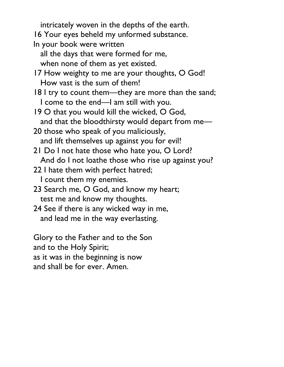intricately woven in the depths of the earth.

16 Your eyes beheld my unformed substance.

- In your book were written
	- all the days that were formed for me, when none of them as yet existed.
- 17 How weighty to me are your thoughts, O God! How vast is the sum of them!
- 18 I try to count them—they are more than the sand; I come to the end—I am still with you.
- 19 O that you would kill the wicked, O God, and that the bloodthirsty would depart from me—
- 20 those who speak of you maliciously, and lift themselves up against you for evil!
- 21 Do I not hate those who hate you, O Lord? And do I not loathe those who rise up against you?
- 22 I hate them with perfect hatred; I count them my enemies.
- 23 Search me, O God, and know my heart; test me and know my thoughts.
- 24 See if there is any wicked way in me, and lead me in the way everlasting.

Glory to the Father and to the Son and to the Holy Spirit; as it was in the beginning is now and shall be for ever. Amen.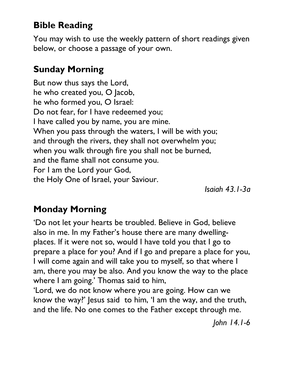#### **Bible Reading**

You may wish to use the weekly pattern of short readings given below, or choose a passage of your own.

#### **Sunday Morning**

But now thus says the Lord, he who created you, O Jacob, he who formed you, O Israel: Do not fear, for I have redeemed you; I have called you by name, you are mine. When you pass through the waters, I will be with you; and through the rivers, they shall not overwhelm you; when you walk through fire you shall not be burned, and the flame shall not consume you. For I am the Lord your God, the Holy One of Israel, your Saviour.

*Isaiah 43.1-3a*

#### **Monday Morning**

'Do not let your hearts be troubled. Believe in God, believe also in me. In my Father's house there are many dwellingplaces. If it were not so, would I have told you that I go to prepare a place for you? And if I go and prepare a place for you, I will come again and will take you to myself, so that where I am, there you may be also. And you know the way to the place where I am going.' Thomas said to him,

'Lord, we do not know where you are going. How can we know the way?' Jesus said to him, 'I am the way, and the truth, and the life. No one comes to the Father except through me.

*John 14.1-6*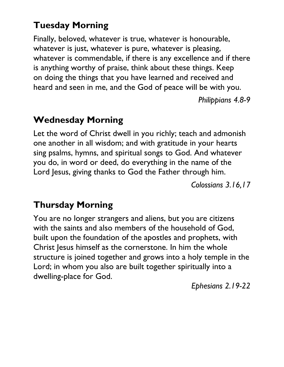#### **Tuesday Morning**

Finally, beloved, whatever is true, whatever is honourable, whatever is just, whatever is pure, whatever is pleasing, whatever is commendable, if there is any excellence and if there is anything worthy of praise, think about these things. Keep on doing the things that you have learned and received and heard and seen in me, and the God of peace will be with you.

*Philippians 4.8-9*

#### **Wednesday Morning**

Let the word of Christ dwell in you richly; teach and admonish one another in all wisdom; and with gratitude in your hearts sing psalms, hymns, and spiritual songs to God. And whatever you do, in word or deed, do everything in the name of the Lord Jesus, giving thanks to God the Father through him.

*Colossians 3.16,17*

#### **Thursday Morning**

You are no longer strangers and aliens, but you are citizens with the saints and also members of the household of God, built upon the foundation of the apostles and prophets, with Christ Jesus himself as the cornerstone. In him the whole structure is joined together and grows into a holy temple in the Lord; in whom you also are built together spiritually into a dwelling-place for God.

*Ephesians 2.19-22*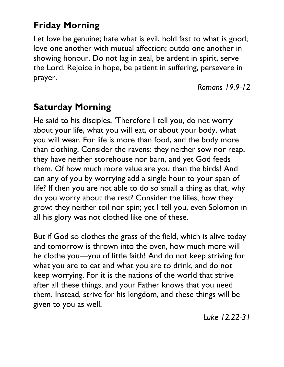#### **Friday Morning**

Let love be genuine; hate what is evil, hold fast to what is good; love one another with mutual affection; outdo one another in showing honour. Do not lag in zeal, be ardent in spirit, serve the Lord. Rejoice in hope, be patient in suffering, persevere in prayer.

*Romans 19.9-12*

#### **Saturday Morning**

He said to his disciples, 'Therefore I tell you, do not worry about your life, what you will eat, or about your body, what you will wear. For life is more than food, and the body more than clothing. Consider the ravens: they neither sow nor reap, they have neither storehouse nor barn, and yet God feeds them. Of how much more value are you than the birds! And can any of you by worrying add a single hour to your span of life? If then you are not able to do so small a thing as that, why do you worry about the rest? Consider the lilies, how they grow: they neither toil nor spin; yet I tell you, even Solomon in all his glory was not clothed like one of these.

But if God so clothes the grass of the field, which is alive today and tomorrow is thrown into the oven, how much more will he clothe you—you of little faith! And do not keep striving for what you are to eat and what you are to drink, and do not keep worrying. For it is the nations of the world that strive after all these things, and your Father knows that you need them. Instead, strive for his kingdom, and these things will be given to you as well.

*Luke 12.22-31*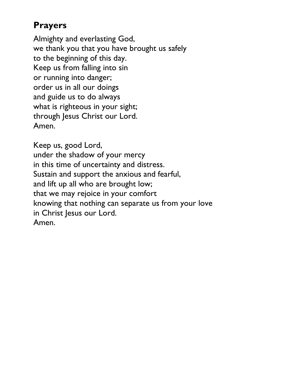#### **Prayers**

Almighty and everlasting God, we thank you that you have brought us safely to the beginning of this day. Keep us from falling into sin or running into danger; order us in all our doings and guide us to do always what is righteous in your sight; through Jesus Christ our Lord. Amen.

Keep us, good Lord, under the shadow of your mercy in this time of uncertainty and distress. Sustain and support the anxious and fearful, and lift up all who are brought low; that we may rejoice in your comfort knowing that nothing can separate us from your love in Christ Jesus our Lord. Amen.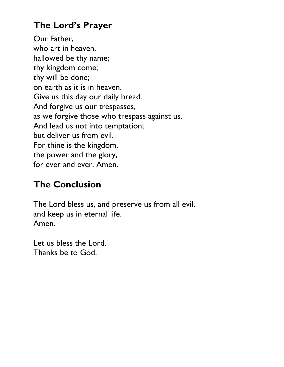#### **The Lord's Prayer**

Our Father, who art in heaven, hallowed be thy name; thy kingdom come; thy will be done; on earth as it is in heaven. Give us this day our daily bread. And forgive us our trespasses, as we forgive those who trespass against us. And lead us not into temptation; but deliver us from evil. For thine is the kingdom, the power and the glory, for ever and ever. Amen.

#### **The Conclusion**

The Lord bless us, and preserve us from all evil, and keep us in eternal life. Amen.

Let us bless the Lord. Thanks be to God.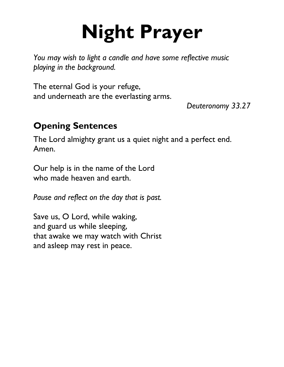# **Night Prayer**

*You may wish to light a candle and have some reflective music playing in the background.*

The eternal God is your refuge, and underneath are the everlasting arms.

*Deuteronomy 33.27*

#### **Opening Sentences**

The Lord almighty grant us a quiet night and a perfect end. Amen.

Our help is in the name of the Lord who made heaven and earth.

*Pause and reflect on the day that is past.*

Save us, O Lord, while waking, and guard us while sleeping, that awake we may watch with Christ and asleep may rest in peace.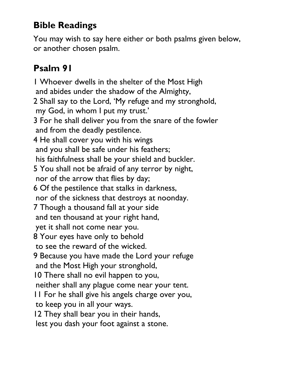#### **Bible Readings**

You may wish to say here either or both psalms given below, or another chosen psalm.

#### **Psalm 91**

1 Whoever dwells in the shelter of the Most High and abides under the shadow of the Almighty, 2 Shall say to the Lord, 'My refuge and my stronghold, my God, in whom I put my trust.' 3 For he shall deliver you from the snare of the fowler and from the deadly pestilence. 4 He shall cover you with his wings and you shall be safe under his feathers; his faithfulness shall be your shield and buckler. 5 You shall not be afraid of any terror by night, nor of the arrow that flies by day; 6 Of the pestilence that stalks in darkness, nor of the sickness that destroys at noonday. 7 Though a thousand fall at your side and ten thousand at your right hand, yet it shall not come near you. 8 Your eyes have only to behold to see the reward of the wicked. 9 Because you have made the Lord your refuge and the Most High your stronghold, 10 There shall no evil happen to you, neither shall any plague come near your tent. 11 For he shall give his angels charge over you, to keep you in all your ways. 12 They shall bear you in their hands, lest you dash your foot against a stone.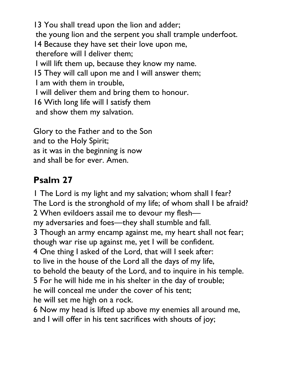13 You shall tread upon the lion and adder; the young lion and the serpent you shall trample underfoot. 14 Because they have set their love upon me, therefore will I deliver them; I will lift them up, because they know my name. 15 They will call upon me and I will answer them; I am with them in trouble, I will deliver them and bring them to honour. 16 With long life will I satisfy them and show them my salvation.

Glory to the Father and to the Son and to the Holy Spirit; as it was in the beginning is now and shall be for ever. Amen.

#### **Psalm 27**

1 The Lord is my light and my salvation; whom shall I fear? The Lord is the stronghold of my life; of whom shall I be afraid? 2 When evildoers assail me to devour my flesh my adversaries and foes—they shall stumble and fall. 3 Though an army encamp against me, my heart shall not fear; though war rise up against me, yet I will be confident. 4 One thing I asked of the Lord, that will I seek after: to live in the house of the Lord all the days of my life, to behold the beauty of the Lord, and to inquire in his temple. 5 For he will hide me in his shelter in the day of trouble; he will conceal me under the cover of his tent; he will set me high on a rock.

6 Now my head is lifted up above my enemies all around me, and I will offer in his tent sacrifices with shouts of joy;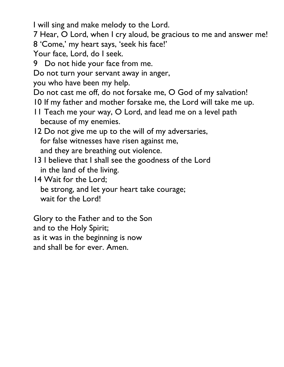I will sing and make melody to the Lord.

7 Hear, O Lord, when I cry aloud, be gracious to me and answer me!

8 'Come,' my heart says, 'seek his face!'

Your face, Lord, do I seek.

9 Do not hide your face from me.

Do not turn your servant away in anger,

you who have been my help.

Do not cast me off, do not forsake me, O God of my salvation!

10 If my father and mother forsake me, the Lord will take me up.

11 Teach me your way, O Lord, and lead me on a level path because of my enemies.

12 Do not give me up to the will of my adversaries, for false witnesses have risen against me, and they are breathing out violence.

13 I believe that I shall see the goodness of the Lord in the land of the living.

14 Wait for the Lord;

 be strong, and let your heart take courage; wait for the Lord!

Glory to the Father and to the Son and to the Holy Spirit; as it was in the beginning is now and shall be for ever. Amen.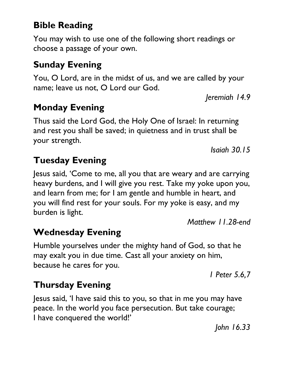#### **Bible Reading**

You may wish to use one of the following short readings or choose a passage of your own.

#### **Sunday Evening**

You, O Lord, are in the midst of us, and we are called by your name; leave us not, O Lord our God.

*Jeremiah 14.9*

#### **Monday Evening**

Thus said the Lord God, the Holy One of Israel: In returning and rest you shall be saved; in quietness and in trust shall be your strength.

*Isaiah 30.15*

#### **Tuesday Evening**

Jesus said, 'Come to me, all you that are weary and are carrying heavy burdens, and I will give you rest. Take my yoke upon you, and learn from me; for I am gentle and humble in heart, and you will find rest for your souls. For my yoke is easy, and my burden is light.

*Matthew 11.28-end*

#### **Wednesday Evening**

Humble yourselves under the mighty hand of God, so that he may exalt you in due time. Cast all your anxiety on him, because he cares for you.

*1 Peter 5.6,7*

#### **Thursday Evening**

Jesus said, 'I have said this to you, so that in me you may have peace. In the world you face persecution. But take courage; I have conquered the world!'

*John 16.33*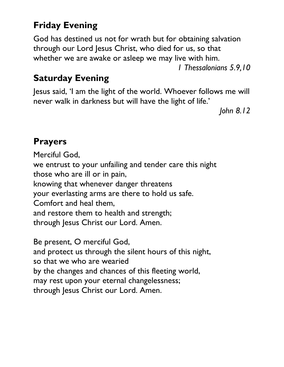#### **Friday Evening**

God has destined us not for wrath but for obtaining salvation through our Lord Jesus Christ, who died for us, so that whether we are awake or asleep we may live with him.

*1 Thessalonians 5.9,10*

#### **Saturday Evening**

Jesus said, 'I am the light of the world. Whoever follows me will never walk in darkness but will have the light of life.'

*John 8.12*

#### **Prayers**

Merciful God, we entrust to your unfailing and tender care this night those who are ill or in pain, knowing that whenever danger threatens your everlasting arms are there to hold us safe. Comfort and heal them, and restore them to health and strength; through Jesus Christ our Lord. Amen.

Be present, O merciful God, and protect us through the silent hours of this night, so that we who are wearied by the changes and chances of this fleeting world, may rest upon your eternal changelessness; through Jesus Christ our Lord. Amen.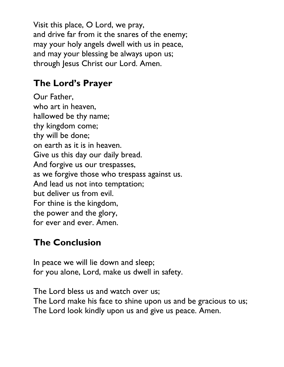Visit this place, O Lord, we pray, and drive far from it the snares of the enemy; may your holy angels dwell with us in peace, and may your blessing be always upon us; through Jesus Christ our Lord. Amen.

#### **The Lord's Prayer**

Our Father, who art in heaven, hallowed be thy name; thy kingdom come; thy will be done; on earth as it is in heaven. Give us this day our daily bread. And forgive us our trespasses, as we forgive those who trespass against us. And lead us not into temptation; but deliver us from evil. For thine is the kingdom, the power and the glory, for ever and ever. Amen.

#### **The Conclusion**

In peace we will lie down and sleep; for you alone, Lord, make us dwell in safety.

The Lord bless us and watch over us; The Lord make his face to shine upon us and be gracious to us; The Lord look kindly upon us and give us peace. Amen.